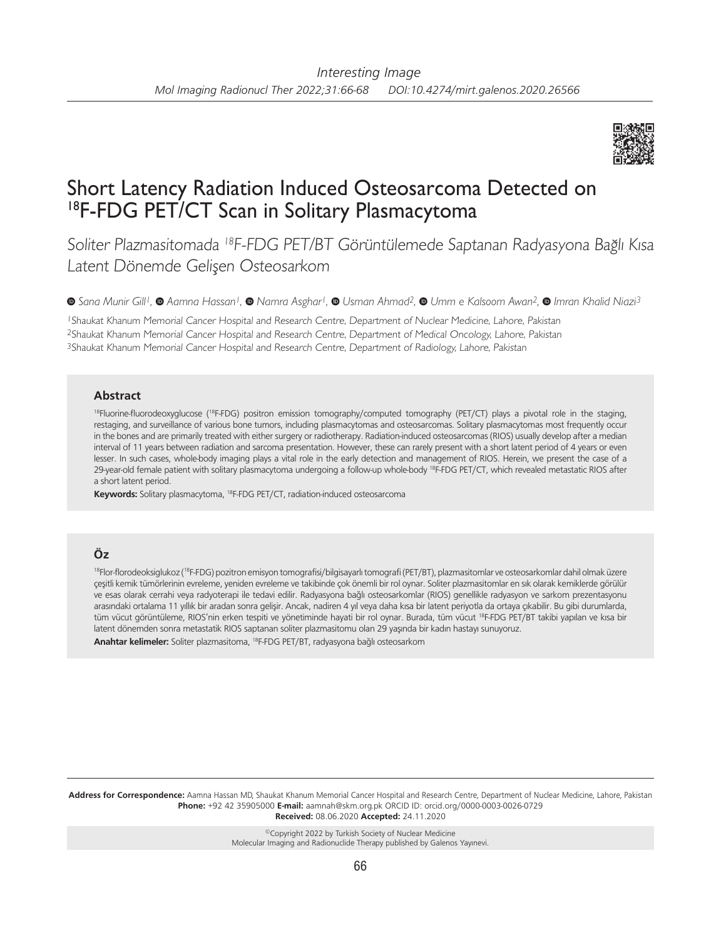

# Short Latency Radiation Induced Osteosarcoma Detected on 18F-FDG PET/CT Scan in Solitary Plasmacytoma

Soliter Plazmasitomada <sup>18</sup>F-FDG PET/BT Görüntülemede Saptanan Radyasyona Bağlı Kısa Latent Dönemde Gelişen Osteosarkom

*Sana Munir Gill1, Aamna Hassan1,Namra Asghar1,Usman Ahmad2, Umm e Kalsoom Awan2, Imran Khalid Niazi3*

<sup>1</sup>Shaukat Khanum Memorial Cancer Hospital and Research Centre, Department of Nuclear Medicine, Lahore, Pakistan <sup>2</sup>Shaukat Khanum Memorial Cancer Hospital and Research Centre, Department of Medical Oncology, Lahore, Pakistan <sup>3</sup>Shaukat Khanum Memorial Cancer Hospital and Research Centre, Department of Radiology, Lahore, Pakistan

#### **Abstract**

<sup>18</sup>Fluorine-fluorodeoxyglucose (<sup>18</sup>F-FDG) positron emission tomography/computed tomography (PET/CT) plays a pivotal role in the staging, restaging, and surveillance of various bone tumors, including plasmacytomas and osteosarcomas. Solitary plasmacytomas most frequently occur in the bones and are primarily treated with either surgery or radiotherapy. Radiation-induced osteosarcomas (RIOS) usually develop after a median interval of 11 years between radiation and sarcoma presentation. However, these can rarely present with a short latent period of 4 years or even lesser. In such cases, whole-body imaging plays a vital role in the early detection and management of RIOS. Herein, we present the case of a 29-year-old female patient with solitary plasmacytoma undergoing a follow-up whole-body <sup>18</sup>F-FDG PET/CT, which revealed metastatic RIOS after a short latent period.

**Keywords:** Solitary plasmacytoma, 18F-FDG PET/CT, radiation-induced osteosarcoma

## **Öz**

18Flor-florodeoksiglukoz (18F-FDG) pozitron emisyon tomografisi/bilgisayarlı tomografi (PET/BT), plazmasitomlar ve osteosarkomlar dahil olmak üzere çeşitli kemik tümörlerinin evreleme, yeniden evreleme ve takibinde çok önemli bir rol oynar. Soliter plazmasitomlar en sık olarak kemiklerde görülür ve esas olarak cerrahi veya radyoterapi ile tedavi edilir. Radyasyona bağlı osteosarkomlar (RIOS) genellikle radyasyon ve sarkom prezentasyonu arasındaki ortalama 11 yıllık bir aradan sonra gelişir. Ancak, nadiren 4 yıl veya daha kısa bir latent periyotla da ortaya çıkabilir. Bu gibi durumlarda, tüm vücut görüntüleme, RIOS'nin erken tespiti ve yönetiminde hayati bir rol oynar. Burada, tüm vücut <sup>18</sup>F-FDG PET/BT takibi yapılan ve kısa bir latent dönemden sonra metastatik RIOS saptanan soliter plazmasitomu olan 29 yaşında bir kadın hastayı sunuyoruz. **Anahtar kelimeler:** Soliter plazmasitoma, 18F-FDG PET/BT, radyasyona bağlı osteosarkom

**Address for Correspondence:** Aamna Hassan MD, Shaukat Khanum Memorial Cancer Hospital and Research Centre, Department of Nuclear Medicine, Lahore, Pakistan **Phone:** +92 42 35905000 **E-mail:** aamnah@skm.org.pk ORCID ID: orcid.org/0000-0003-0026-0729 **Received:** 08.06.2020 **Accepted:** 24.11.2020

> ©Copyright 2022 by Turkish Society of Nuclear Medicine Molecular Imaging and Radionuclide Therapy published by Galenos Yayınevi.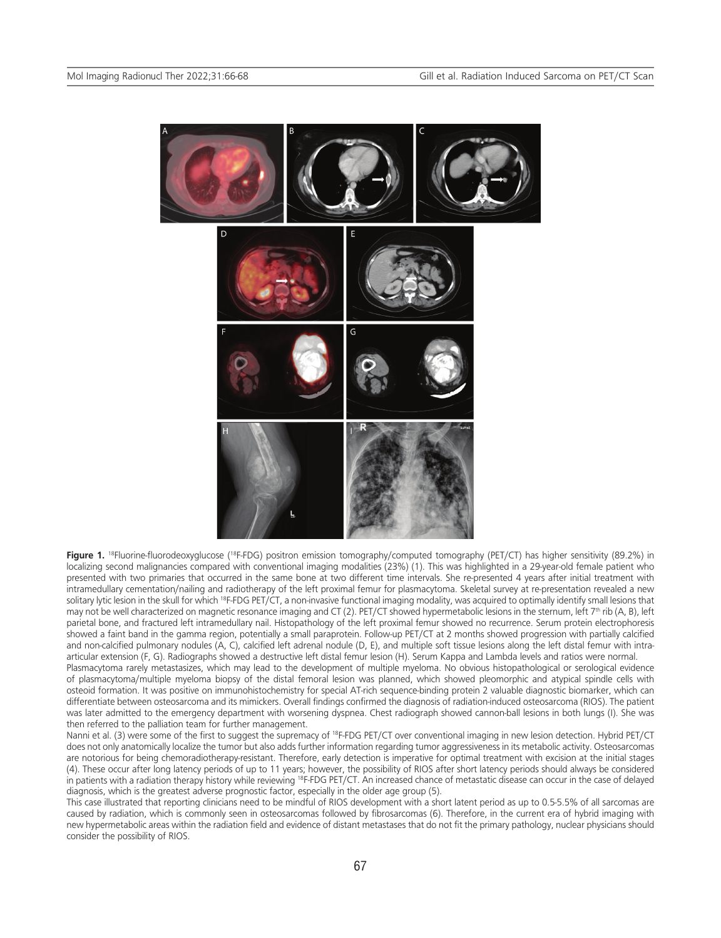

Figure 1. <sup>18</sup>Fluorine-fluorodeoxyglucose (<sup>18</sup>F-FDG) positron emission tomography/computed tomography (PET/CT) has higher sensitivity (89.2%) in localizing second malignancies compared with conventional imaging modalities (23%) (1). This was highlighted in a 29-year-old female patient who presented with two primaries that occurred in the same bone at two different time intervals. She re-presented 4 years after initial treatment with intramedullary cementation/nailing and radiotherapy of the left proximal femur for plasmacytoma. Skeletal survey at re-presentation revealed a new solitary lytic lesion in the skull for which <sup>18</sup>F-FDG PET/CT, a non-invasive functional imaging modality, was acquired to optimally identify small lesions that may not be well characterized on magnetic resonance imaging and CT (2). PET/CT showed hypermetabolic lesions in the sternum, left 7<sup>th</sup> rib (A, B), left parietal bone, and fractured left intramedullary nail. Histopathology of the left proximal femur showed no recurrence. Serum protein electrophoresis showed a faint band in the gamma region, potentially a small paraprotein. Follow-up PET/CT at 2 months showed progression with partially calcified and non-calcified pulmonary nodules (A, C), calcified left adrenal nodule (D, E), and multiple soft tissue lesions along the left distal femur with intraarticular extension (F, G). Radiographs showed a destructive left distal femur lesion (H). Serum Kappa and Lambda levels and ratios were normal.

Plasmacytoma rarely metastasizes, which may lead to the development of multiple myeloma. No obvious histopathological or serological evidence of plasmacytoma/multiple myeloma biopsy of the distal femoral lesion was planned, which showed pleomorphic and atypical spindle cells with osteoid formation. It was positive on immunohistochemistry for special AT-rich sequence-binding protein 2 valuable diagnostic biomarker, which can differentiate between osteosarcoma and its mimickers. Overall findings confirmed the diagnosis of radiation-induced osteosarcoma (RIOS). The patient was later admitted to the emergency department with worsening dyspnea. Chest radiograph showed cannon-ball lesions in both lungs (I). She was then referred to the palliation team for further management.

Nanni et al. (3) were some of the first to suggest the supremacy of <sup>18</sup>F-FDG PET/CT over conventional imaging in new lesion detection. Hybrid PET/CT does not only anatomically localize the tumor but also adds further information regarding tumor aggressiveness in its metabolic activity. Osteosarcomas are notorious for being chemoradiotherapy-resistant. Therefore, early detection is imperative for optimal treatment with excision at the initial stages (4). These occur after long latency periods of up to 11 years; however, the possibility of RIOS after short latency periods should always be considered in patients with a radiation therapy history while reviewing 18F-FDG PET/CT. An increased chance of metastatic disease can occur in the case of delayed diagnosis, which is the greatest adverse prognostic factor, especially in the older age group (5).

This case illustrated that reporting clinicians need to be mindful of RIOS development with a short latent period as up to 0.5-5.5% of all sarcomas are caused by radiation, which is commonly seen in osteosarcomas followed by fibrosarcomas (6). Therefore, in the current era of hybrid imaging with new hypermetabolic areas within the radiation field and evidence of distant metastases that do not fit the primary pathology, nuclear physicians should consider the possibility of RIOS.